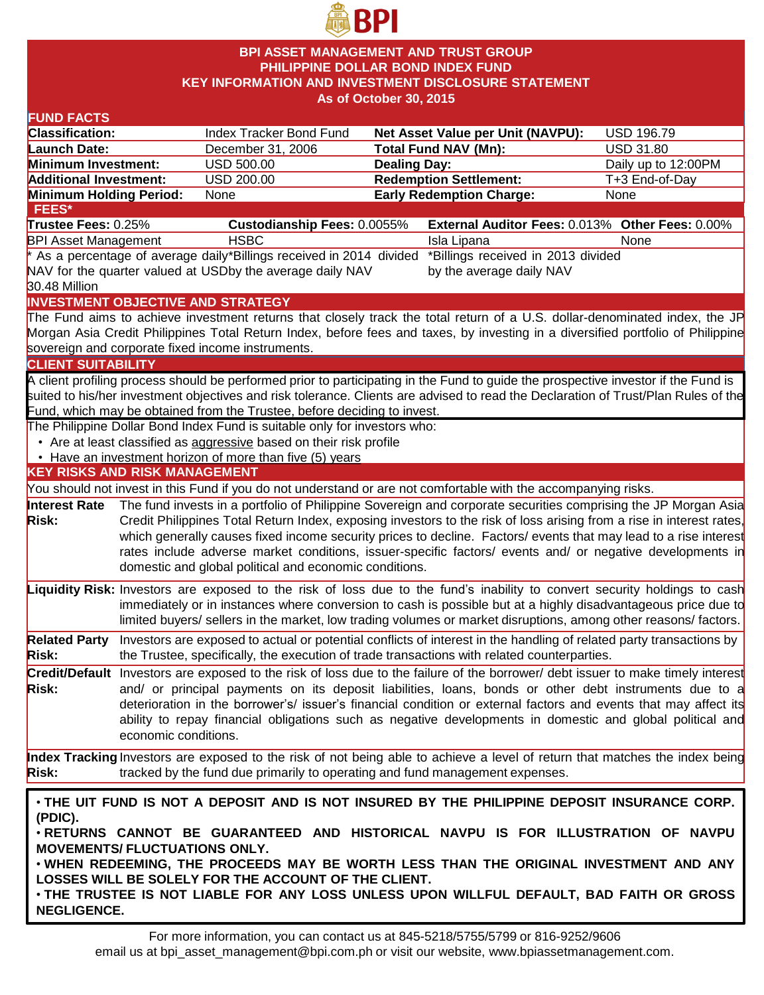

### **BPI ASSET MANAGEMENT AND TRUST GROUP PHILIPPINE DOLLAR BOND INDEX FUND KEY INFORMATION AND INVESTMENT DISCLOSURE STATEMENT As of October 30, 2015**

| <b>FUND FACTS</b>                                                                                          |                      |                                                                              |                     |                                                                                                                                    |                     |  |
|------------------------------------------------------------------------------------------------------------|----------------------|------------------------------------------------------------------------------|---------------------|------------------------------------------------------------------------------------------------------------------------------------|---------------------|--|
| <b>Classification:</b>                                                                                     |                      | Index Tracker Bond Fund                                                      |                     | <b>Net Asset Value per Unit (NAVPU):</b>                                                                                           | <b>USD 196.79</b>   |  |
| <b>Launch Date:</b>                                                                                        |                      | December 31, 2006                                                            |                     | <b>Total Fund NAV (Mn):</b>                                                                                                        | <b>USD 31.80</b>    |  |
| Minimum Investment:                                                                                        |                      | <b>USD 500.00</b>                                                            | <b>Dealing Day:</b> |                                                                                                                                    | Daily up to 12:00PM |  |
| <b>Additional Investment:</b>                                                                              |                      | USD 200.00                                                                   |                     | <b>Redemption Settlement:</b>                                                                                                      | T+3 End-of-Day      |  |
| Minimum Holding Period:                                                                                    |                      | None                                                                         |                     | <b>Early Redemption Charge:</b>                                                                                                    | None                |  |
| <b>FEES*</b>                                                                                               |                      |                                                                              |                     |                                                                                                                                    |                     |  |
| Trustee Fees: 0.25%                                                                                        |                      | <b>Custodianship Fees: 0.0055%</b>                                           |                     | External Auditor Fees: 0.013% Other Fees: 0.00%                                                                                    |                     |  |
| <b>BPI Asset Management</b>                                                                                |                      | <b>HSBC</b>                                                                  |                     | Isla Lipana                                                                                                                        | None                |  |
| *Billings received in 2013 divided<br>* As a percentage of average daily*Billings received in 2014 divided |                      |                                                                              |                     |                                                                                                                                    |                     |  |
|                                                                                                            |                      | NAV for the quarter valued at USDby the average daily NAV                    |                     | by the average daily NAV                                                                                                           |                     |  |
| 30.48 Million                                                                                              |                      |                                                                              |                     |                                                                                                                                    |                     |  |
|                                                                                                            |                      | <b>INVESTMENT OBJECTIVE AND STRATEGY</b>                                     |                     |                                                                                                                                    |                     |  |
|                                                                                                            |                      |                                                                              |                     | The Fund aims to achieve investment returns that closely track the total return of a U.S. dollar-denominated index, the JP         |                     |  |
|                                                                                                            |                      |                                                                              |                     | Morgan Asia Credit Philippines Total Return Index, before fees and taxes, by investing in a diversified portfolio of Philippine    |                     |  |
|                                                                                                            |                      | sovereign and corporate fixed income instruments.                            |                     |                                                                                                                                    |                     |  |
| <b>CLIENT SUITABILITY</b>                                                                                  |                      |                                                                              |                     |                                                                                                                                    |                     |  |
|                                                                                                            |                      |                                                                              |                     | A client profiling process should be performed prior to participating in the Fund to guide the prospective investor if the Fund is |                     |  |
|                                                                                                            |                      |                                                                              |                     | suited to his/her investment objectives and risk tolerance. Clients are advised to read the Declaration of Trust/Plan Rules of the |                     |  |
|                                                                                                            |                      | Fund, which may be obtained from the Trustee, before deciding to invest.     |                     |                                                                                                                                    |                     |  |
|                                                                                                            |                      | The Philippine Dollar Bond Index Fund is suitable only for investors who:    |                     |                                                                                                                                    |                     |  |
|                                                                                                            |                      | • Are at least classified as aggressive based on their risk profile          |                     |                                                                                                                                    |                     |  |
|                                                                                                            |                      | • Have an investment horizon of more than five (5) years                     |                     |                                                                                                                                    |                     |  |
| <b>KEY RISKS AND RISK MANAGEMENT</b>                                                                       |                      |                                                                              |                     |                                                                                                                                    |                     |  |
|                                                                                                            |                      |                                                                              |                     | You should not invest in this Fund if you do not understand or are not comfortable with the accompanying risks.                    |                     |  |
| <b>Interest Rate</b>                                                                                       |                      |                                                                              |                     | The fund invests in a portfolio of Philippine Sovereign and corporate securities comprising the JP Morgan Asia                     |                     |  |
| <b>Risk:</b>                                                                                               |                      |                                                                              |                     | Credit Philippines Total Return Index, exposing investors to the risk of loss arising from a rise in interest rates,               |                     |  |
|                                                                                                            |                      |                                                                              |                     | which generally causes fixed income security prices to decline. Factors/ events that may lead to a rise interest                   |                     |  |
|                                                                                                            |                      |                                                                              |                     | rates include adverse market conditions, issuer-specific factors/ events and/ or negative developments in                          |                     |  |
|                                                                                                            |                      | domestic and global political and economic conditions.                       |                     |                                                                                                                                    |                     |  |
|                                                                                                            |                      |                                                                              |                     | Liquidity Risk: Investors are exposed to the risk of loss due to the fund's inability to convert security holdings to cash         |                     |  |
|                                                                                                            |                      |                                                                              |                     | immediately or in instances where conversion to cash is possible but at a highly disadvantageous price due to                      |                     |  |
|                                                                                                            |                      |                                                                              |                     | limited buyers/ sellers in the market, low trading volumes or market disruptions, among other reasons/ factors.                    |                     |  |
| <b>Related Party</b>                                                                                       |                      |                                                                              |                     | Investors are exposed to actual or potential conflicts of interest in the handling of related party transactions by                |                     |  |
| <b>Risk:</b>                                                                                               |                      |                                                                              |                     | the Trustee, specifically, the execution of trade transactions with related counterparties.                                        |                     |  |
|                                                                                                            |                      |                                                                              |                     |                                                                                                                                    |                     |  |
|                                                                                                            |                      |                                                                              |                     | Credit/Default Investors are exposed to the risk of loss due to the failure of the borrower/ debt issuer to make timely interest   |                     |  |
| <b>Risk:</b>                                                                                               |                      |                                                                              |                     | and/ or principal payments on its deposit liabilities, loans, bonds or other debt instruments due to a                             |                     |  |
|                                                                                                            |                      |                                                                              |                     | deterioration in the borrower's/ issuer's financial condition or external factors and events that may affect its                   |                     |  |
|                                                                                                            |                      |                                                                              |                     | ability to repay financial obligations such as negative developments in domestic and global political and                          |                     |  |
|                                                                                                            | economic conditions. |                                                                              |                     |                                                                                                                                    |                     |  |
|                                                                                                            |                      |                                                                              |                     | Index Tracking Investors are exposed to the risk of not being able to achieve a level of return that matches the index being       |                     |  |
| <b>Risk:</b>                                                                                               |                      | tracked by the fund due primarily to operating and fund management expenses. |                     |                                                                                                                                    |                     |  |
|                                                                                                            |                      |                                                                              |                     |                                                                                                                                    |                     |  |
|                                                                                                            |                      |                                                                              |                     | . THE UIT FUND IS NOT A DEPOSIT AND IS NOT INSURED BY THE PHILIPPINE DEPOSIT INSURANCE CORP.                                       |                     |  |
| (PDIC).                                                                                                    |                      |                                                                              |                     |                                                                                                                                    |                     |  |
| . RETURNS CANNOT BE GUARANTEED AND HISTORICAL NAVPU IS FOR ILLUSTRATION OF NAVPU                           |                      |                                                                              |                     |                                                                                                                                    |                     |  |
| <b>MOVEMENTS/ FLUCTUATIONS ONLY.</b>                                                                       |                      |                                                                              |                     |                                                                                                                                    |                     |  |
| . WHEN REDEEMING, THE PROCEEDS MAY BE WORTH LESS THAN THE ORIGINAL INVESTMENT AND ANY                      |                      |                                                                              |                     |                                                                                                                                    |                     |  |
|                                                                                                            |                      | LOSSES WILL BE SOLELY FOR THE ACCOUNT OF THE CLIENT.                         |                     |                                                                                                                                    |                     |  |
| . THE TRUSTEE IS NOT LIABLE FOR ANY LOSS UNLESS UPON WILLFUL DEFAULT, BAD FAITH OR GROSS                   |                      |                                                                              |                     |                                                                                                                                    |                     |  |

• **THE TRUSTEE IS NOT LIABLE FOR ANY LOSS UNLESS UPON WILLFUL DEFAULT, BAD FAITH OR GROSS NEGLIGENCE.**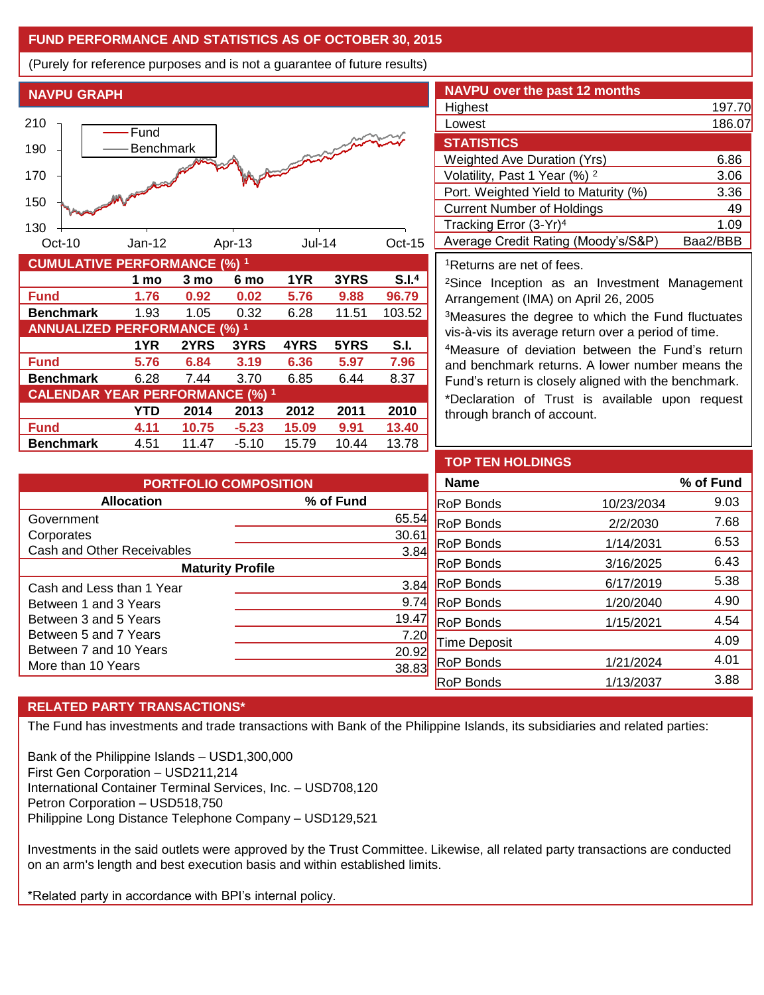## **FUND PERFORMANCE AND STATISTICS AS OF OCTOBER 30, 2015**

(Purely for reference purposes and is not a guarantee of future results)

**NAVPU GRAPH**



|                                        | 1 mo | 3 mo  | 6 mo    | 1YR   | 3YRS  | S.I. <sup>4</sup> |
|----------------------------------------|------|-------|---------|-------|-------|-------------------|
| <b>Fund</b>                            | 1.76 | 0.92  | 0.02    | 5.76  | 9.88  | 96.79             |
| <b>Benchmark</b>                       | 1.93 | 1.05  | 0.32    | 6.28  | 11.51 | 103.52            |
| <b>ANNUALIZED PERFORMANCE (%) 1</b>    |      |       |         |       |       |                   |
|                                        | 1YR  | 2YRS  | 3YRS    | 4YRS  | 5YRS  | S.I.              |
| <b>Fund</b>                            | 5.76 | 6.84  | 3.19    | 6.36  | 5.97  | 7.96              |
| <b>Benchmark</b>                       | 6.28 | 7.44  | 3.70    | 6.85  | 6.44  | 8.37              |
| <b>CALENDAR YEAR PERFORMANCE (%) 1</b> |      |       |         |       |       |                   |
|                                        | YTD  | 2014  | 2013    | 2012  | 2011  | 2010              |
| <b>Fund</b>                            | 4.11 | 10.75 | $-5.23$ | 15.09 | 9.91  | 13.40             |
| <b>Benchmark</b>                       | 4.51 | 11.47 | $-5.10$ | 15.79 | 10.44 | 13.78             |

| <b>NAVPU over the past 12 months</b>     |          |
|------------------------------------------|----------|
| Highest                                  | 197.70   |
| Lowest                                   | 186.07   |
| <b>STATISTICS</b>                        |          |
| <b>Weighted Ave Duration (Yrs)</b>       | 6.86     |
| Volatility, Past 1 Year (%) <sup>2</sup> | 3.06     |
| Port. Weighted Yield to Maturity (%)     | 3.36     |
| <b>Current Number of Holdings</b>        | 49       |
| Tracking Error (3-Yr) <sup>4</sup>       | 1.09     |
| Average Credit Rating (Moody's/S&P)      | Baa2/BBB |

<sup>1</sup>Returns are net of fees.

<sup>2</sup>Since Inception as an Investment Management Arrangement (IMA) on April 26, 2005

<sup>3</sup>Measures the degree to which the Fund fluctuates vis-à-vis its average return over a period of time.

<sup>4</sup>Measure of deviation between the Fund's return and benchmark returns. A lower number means the Fund's return is closely aligned with the benchmark.

\*Declaration of Trust is available upon request through branch of account.

| <b>PORTFOLIO COMPOSITION</b> |                |  |  |  |
|------------------------------|----------------|--|--|--|
| <b>Allocation</b>            | % of Fund      |  |  |  |
| Government                   | 65.54          |  |  |  |
| Corporates                   | $30.6^{\circ}$ |  |  |  |
| Cash and Other Receivables   | 3.84           |  |  |  |
| <b>Maturity Profile</b>      |                |  |  |  |
| Cash and Less than 1 Year    | 3.84           |  |  |  |
| Between 1 and 3 Years        | 9.7            |  |  |  |
| Between 3 and 5 Years        | 19.47          |  |  |  |
| Between 5 and 7 Years        | 7.20           |  |  |  |
| Between 7 and 10 Years       | 20.92          |  |  |  |
| More than 10 Years           | 38.8           |  |  |  |

| <b>TOP TEN HOLDINGS</b> |            |           |
|-------------------------|------------|-----------|
| <b>Name</b>             |            | % of Fund |
| <b>RoP Bonds</b>        | 10/23/2034 | 9.03      |
| <b>RoP Bonds</b>        | 2/2/2030   | 7.68      |
| <b>RoP Bonds</b>        | 1/14/2031  | 6.53      |
| <b>RoP Bonds</b>        | 3/16/2025  | 6.43      |
| <b>RoP Bonds</b>        | 6/17/2019  | 5.38      |
| <b>RoP Bonds</b>        | 1/20/2040  | 4.90      |
| <b>RoP Bonds</b>        | 1/15/2021  | 4.54      |
| Time Deposit            |            | 4.09      |
| <b>RoP Bonds</b>        | 1/21/2024  | 4.01      |
| <b>RoP Bonds</b>        | 1/13/2037  | 3.88      |

# **RELATED PARTY TRANSACTIONS\***

The Fund has investments and trade transactions with Bank of the Philippine Islands, its subsidiaries and related parties:

Bank of the Philippine Islands – USD1,300,000 First Gen Corporation – USD211,214 International Container Terminal Services, Inc. – USD708,120 Petron Corporation – USD518,750 Philippine Long Distance Telephone Company – USD129,521

Investments in the said outlets were approved by the Trust Committee. Likewise, all related party transactions are conducted on an arm's length and best execution basis and within established limits.

\*Related party in accordance with BPI's internal policy.